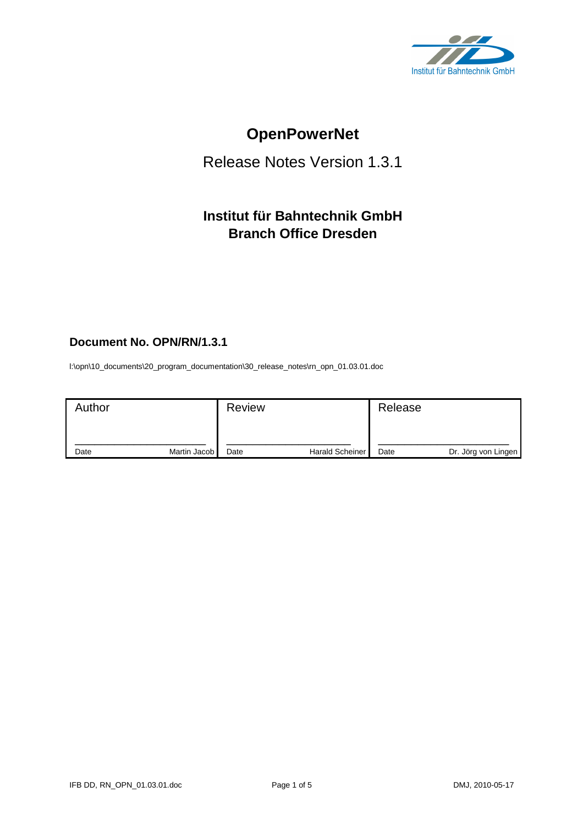

# **OpenPowerNet**

# Release Notes Version 1.3.1

# **Institut für Bahntechnik GmbH Branch Office Dresden**

### **Document No. OPN/RN/1.3.1**

l:\opn\10\_documents\20\_program\_documentation\30\_release\_notes\rn\_opn\_01.03.01.doc

| Author |              | <b>Review</b> |                        | Release |                     |
|--------|--------------|---------------|------------------------|---------|---------------------|
| Date   | Martin Jacob | Date          | <b>Harald Scheiner</b> | Date    | Dr. Jörg von Lingen |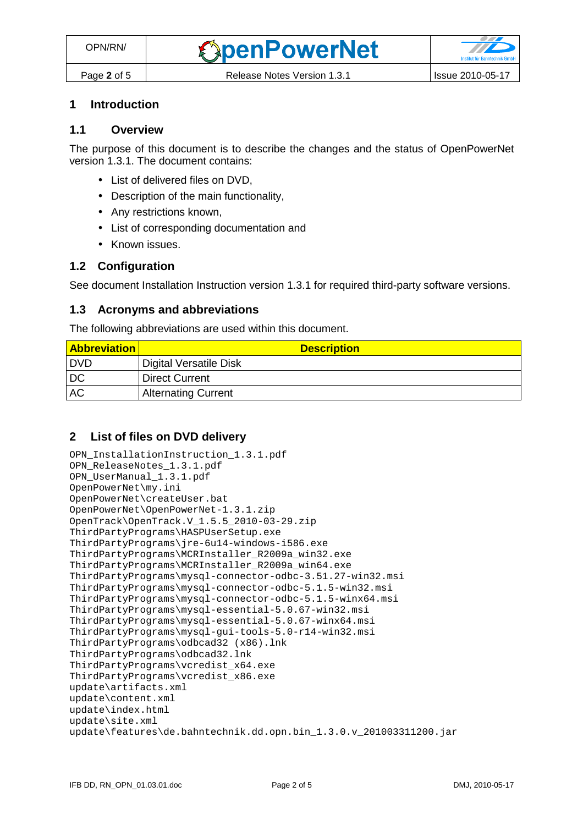## **1 Introduction**

#### **1.1 Overview**

The purpose of this document is to describe the changes and the status of OpenPowerNet version 1.3.1. The document contains:

- List of delivered files on DVD,
- Description of the main functionality,
- Any restrictions known,
- List of corresponding documentation and
- Known issues.

#### **1.2 Configuration**

See document Installation Instruction version 1.3.1 for required third-party software versions.

#### **1.3 Acronyms and abbreviations**

The following abbreviations are used within this document.

| <b>Abbreviation</b> | <b>Description</b>         |
|---------------------|----------------------------|
| I DVD               | Digital Versatile Disk     |
| DC                  | <b>Direct Current</b>      |
| AC                  | <b>Alternating Current</b> |

#### **2 List of files on DVD delivery**

```
OPN_InstallationInstruction_1.3.1.pdf 
OPN_ReleaseNotes_1.3.1.pdf 
OPN_UserManual_1.3.1.pdf 
OpenPowerNet\my.ini 
OpenPowerNet\createUser.bat 
OpenPowerNet\OpenPowerNet-1.3.1.zip 
OpenTrack\OpenTrack.V_1.5.5_2010-03-29.zip 
ThirdPartyPrograms\HASPUserSetup.exe 
ThirdPartyPrograms\jre-6u14-windows-i586.exe 
ThirdPartyPrograms\MCRInstaller_R2009a_win32.exe 
ThirdPartyPrograms\MCRInstaller_R2009a_win64.exe 
ThirdPartyPrograms\mysql-connector-odbc-3.51.27-win32.msi 
ThirdPartyPrograms\mysql-connector-odbc-5.1.5-win32.msi 
ThirdPartyPrograms\mysql-connector-odbc-5.1.5-winx64.msi 
ThirdPartyPrograms\mysql-essential-5.0.67-win32.msi
ThirdPartyPrograms\mysql-essential-5.0.67-winx64.msi 
ThirdPartyPrograms\mysql-gui-tools-5.0-r14-win32.msi 
ThirdPartyPrograms\odbcad32 (x86).lnk 
ThirdPartyPrograms\odbcad32.lnk 
ThirdPartyPrograms\vcredist_x64.exe 
ThirdPartyPrograms\vcredist_x86.exe 
update\artifacts.xml 
update\content.xml 
update\index.html 
update\site.xml 
update\features\de.bahntechnik.dd.opn.bin_1.3.0.v_201003311200.jar
```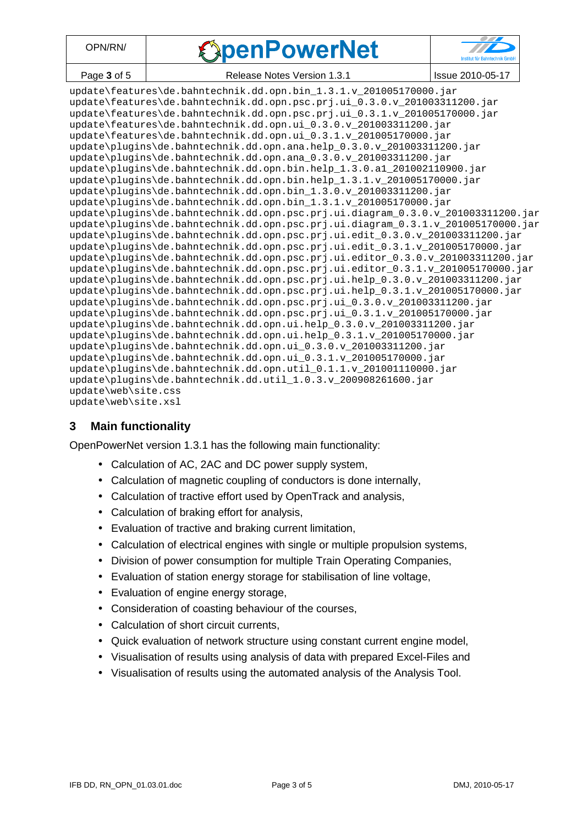| DPN/RN/     | <b><i>SpenPowerNet</i></b>  |                  |
|-------------|-----------------------------|------------------|
| Page 3 of 5 | Release Notes Version 1.3.1 | Issue 2010-05-17 |

| <u>2000 - 2000 - 2000 - 2000 - 2000 - 2000 - 2000 - 2000 - 2000 - 2000 - 2000 - 2000 - 2000 - 2000 - 2000 - 2000 - 2000 - 2000 - 2000 - 2000 - 2000 - 2000 - 2000 - 2000 - 2000 - 2000 - 2000 - 2000 - 2000 - 2000 - 2000 - 2000</u><br>$10000 = 01000$ |
|---------------------------------------------------------------------------------------------------------------------------------------------------------------------------------------------------------------------------------------------------------|
| update\features\de.bahntechnik.dd.opn.bin_1.3.1.v_201005170000.jar                                                                                                                                                                                      |
| update\features\de.bahntechnik.dd.opn.psc.prj.ui_0.3.0.v_201003311200.jar                                                                                                                                                                               |
| update\features\de.bahntechnik.dd.opn.psc.prj.ui_0.3.1.v_201005170000.jar                                                                                                                                                                               |
| update\features\de.bahntechnik.dd.opn.ui_0.3.0.v_201003311200.jar                                                                                                                                                                                       |
| update\features\de.bahntechnik.dd.opn.ui_0.3.1.v_201005170000.jar                                                                                                                                                                                       |
| update\plugins\de.bahntechnik.dd.opn.ana.help_0.3.0.v_201003311200.jar                                                                                                                                                                                  |
| update\plugins\de.bahntechnik.dd.opn.ana_0.3.0.v_201003311200.jar                                                                                                                                                                                       |
| update\plugins\de.bahntechnik.dd.opn.bin.help_1.3.0.al_201002110900.jar                                                                                                                                                                                 |
| update\plugins\de.bahntechnik.dd.opn.bin.help_1.3.1.v_201005170000.jar                                                                                                                                                                                  |
| update\plugins\de.bahntechnik.dd.opn.bin_1.3.0.v_201003311200.jar                                                                                                                                                                                       |
| update\plugins\de.bahntechnik.dd.opn.bin_1.3.1.v_201005170000.jar                                                                                                                                                                                       |
| update\plugins\de.bahntechnik.dd.opn.psc.prj.ui.diagram_0.3.0.v_201003311200.jar                                                                                                                                                                        |
| update\plugins\de.bahntechnik.dd.opn.psc.prj.ui.diagram_0.3.1.v_201005170000.jar                                                                                                                                                                        |
| update\plugins\de.bahntechnik.dd.opn.psc.prj.ui.edit_0.3.0.v_201003311200.jar                                                                                                                                                                           |
| update\plugins\de.bahntechnik.dd.opn.psc.prj.ui.edit_0.3.1.v_201005170000.jar                                                                                                                                                                           |
| update\plugins\de.bahntechnik.dd.opn.psc.prj.ui.editor_0.3.0.v_201003311200.jar                                                                                                                                                                         |
| update\plugins\de.bahntechnik.dd.opn.psc.prj.ui.editor_0.3.1.v_201005170000.jar                                                                                                                                                                         |
| update\plugins\de.bahntechnik.dd.opn.psc.prj.ui.help_0.3.0.v_201003311200.jar                                                                                                                                                                           |
| update\plugins\de.bahntechnik.dd.opn.psc.prj.ui.help 0.3.1.v 201005170000.jar                                                                                                                                                                           |
| update\plugins\de.bahntechnik.dd.opn.psc.prj.ui_0.3.0.v_201003311200.jar                                                                                                                                                                                |
| update\plugins\de.bahntechnik.dd.opn.psc.prj.ui_0.3.1.v_201005170000.jar                                                                                                                                                                                |
| update\plugins\de.bahntechnik.dd.opn.ui.help_0.3.0.v_201003311200.jar                                                                                                                                                                                   |
| update\plugins\de.bahntechnik.dd.opn.ui.help 0.3.1.v 201005170000.jar                                                                                                                                                                                   |
| update\plugins\de.bahntechnik.dd.opn.ui_0.3.0.v_201003311200.jar                                                                                                                                                                                        |
| update\plugins\de.bahntechnik.dd.opn.ui_0.3.1.v_201005170000.jar                                                                                                                                                                                        |
| update\plugins\de.bahntechnik.dd.opn.util_0.1.1.v_201001110000.jar                                                                                                                                                                                      |
| update\plugins\de.bahntechnik.dd.util 1.0.3.v 200908261600.jar                                                                                                                                                                                          |
| update\web\site.css                                                                                                                                                                                                                                     |
| update\web\site.xsl                                                                                                                                                                                                                                     |

#### **3 Main functionality**

OpenPowerNet version 1.3.1 has the following main functionality:

- Calculation of AC, 2AC and DC power supply system,
- Calculation of magnetic coupling of conductors is done internally,
- Calculation of tractive effort used by OpenTrack and analysis,
- Calculation of braking effort for analysis,
- Evaluation of tractive and braking current limitation,
- Calculation of electrical engines with single or multiple propulsion systems,
- Division of power consumption for multiple Train Operating Companies,
- Evaluation of station energy storage for stabilisation of line voltage,
- Evaluation of engine energy storage,
- Consideration of coasting behaviour of the courses,
- Calculation of short circuit currents,
- Quick evaluation of network structure using constant current engine model,
- Visualisation of results using analysis of data with prepared Excel-Files and
- Visualisation of results using the automated analysis of the Analysis Tool.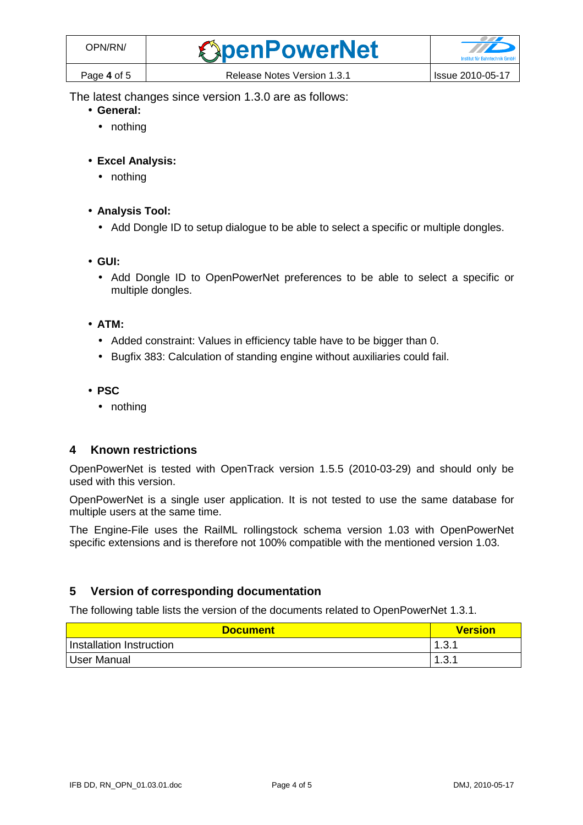The latest changes since version 1.3.0 are as follows:

- **General:** 
	- nothing
- **Excel Analysis:** 
	- nothing
- **Analysis Tool:** 
	- Add Dongle ID to setup dialogue to be able to select a specific or multiple dongles.
- **GUI:** 
	- Add Dongle ID to OpenPowerNet preferences to be able to select a specific or multiple dongles.
- **ATM:** 
	- Added constraint: Values in efficiency table have to be bigger than 0.
	- Bugfix 383: Calculation of standing engine without auxiliaries could fail.
- **PSC** 
	- nothing

#### **4 Known restrictions**

OpenPowerNet is tested with OpenTrack version 1.5.5 (2010-03-29) and should only be used with this version.

OpenPowerNet is a single user application. It is not tested to use the same database for multiple users at the same time.

The Engine-File uses the RailML rollingstock schema version 1.03 with OpenPowerNet specific extensions and is therefore not 100% compatible with the mentioned version 1.03.

#### **5 Version of corresponding documentation**

The following table lists the version of the documents related to OpenPowerNet 1.3.1.

| <b>Document</b>          | <b>Version</b> |
|--------------------------|----------------|
| Installation Instruction | 1.3.1          |
| User Manual              | 1.3.1          |